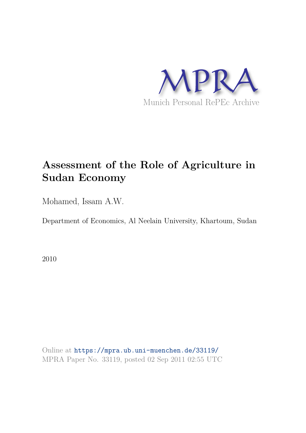

## **Assessment of the Role of Agriculture in Sudan Economy**

Mohamed, Issam A.W.

Department of Economics, Al Neelain University, Khartoum, Sudan

2010

Online at https://mpra.ub.uni-muenchen.de/33119/ MPRA Paper No. 33119, posted 02 Sep 2011 02:55 UTC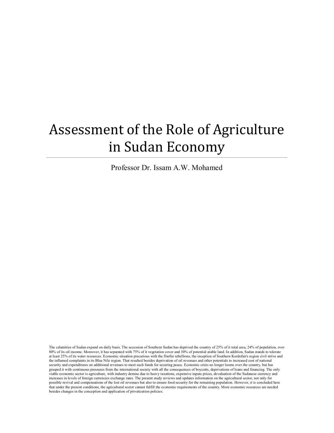# Assessment of the Role of Agriculture in Sudan Economy

Professor Dr. Issam A.W. Mohamed

The calamities of Sudan expand on daily basis. The secession of Southern Sudan has deprived the country of 25% of it total area, 24% of population, over 80% of its oil income. Moreover, it has separated with 75% of it vegetation cover and 30% of potential arable land. In addition, Sudan stands to tolerate at least 25% of its water resources. Economic situation precarious with the Darfur rebellions, the inception of Southern Kordofan's region civil strive and the inflamed complaints in its Blue Nile region. That resulted besides deprivation of oil revenues and other potentials to increased cost of national security and expenditures on additional revenues to meet such funds for securing peace. Economic crisis no longer looms over the country, but has grasped it with continuous pressures from the international society with all the consequences of boycotts, deprivations of loans and financing. The only viable economic sector is agriculture, with industry demise due to heavy taxations, expensive inputs prices, devaluation of the Sudanese currency and increases in levels of foreign currencies exchange rates. The present study reviews and updates information on the agricultural sector, not only for possible revival and compensations of the lost oil revenues but also to ensure food security for the remaining population. However, it is concluded here that under the present conditions, the agricultural sector cannot fulfill the economic requirements of the country. More economic resources are needed besides changes in the conception and application of privatization policies.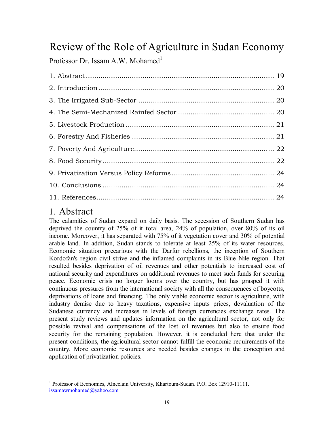## Review of the Role of Agriculture in Sudan Economy

Professor Dr. Issam A.W. Mohamed<sup>1</sup>

## 1. Abstract

The calamities of Sudan expand on daily basis. The secession of Southern Sudan has deprived the country of 25% of it total area, 24% of population, over 80% of its oil income. Moreover, it has separated with 75% of it vegetation cover and 30% of potential arable land. In addition, Sudan stands to tolerate at least 25% of its water resources. Economic situation precarious with the Darfur rebellions, the inception of Southern Kordofan's region civil strive and the inflamed complaints in its Blue Nile region. That resulted besides deprivation of oil revenues and other potentials to increased cost of national security and expenditures on additional revenues to meet such funds for securing peace. Economic crisis no longer looms over the country, but has grasped it with continuous pressures from the international society with all the consequences of boycotts, deprivations of loans and financing. The only viable economic sector is agriculture, with industry demise due to heavy taxations, expensive inputs prices, devaluation of the Sudanese currency and increases in levels of foreign currencies exchange rates. The present study reviews and updates information on the agricultural sector, not only for possible revival and compensations of the lost oil revenues but also to ensure food security for the remaining population. However, it is concluded here that under the present conditions, the agricultural sector cannot fulfill the economic requirements of the country. More economic resources are needed besides changes in the conception and application of privatization policies.

ı <sup>1</sup> Professor of Economics, Alneelain University, Khartoum-Sudan. P.O. Box 12910-11111. issamawmohamed@yahoo.com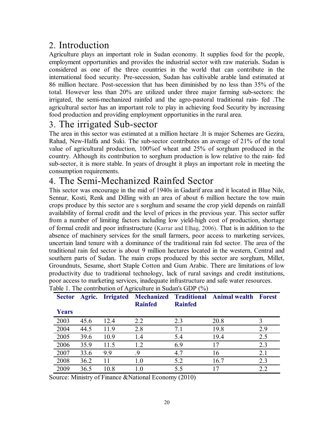## 2. Introduction

Agriculture plays an important role in Sudan economy. It supplies food for the people, employment opportunities and provides the industrial sector with raw materials. Sudan is considered as one of the three countries in the world that can contribute in the international food security. Pre-secession, Sudan has cultivable arable land estimated at 86 million hectare. Post-secession that has been diminished by no less than 35% of the total. However less than 20% are utilized under three major farming sub-sectors: the irrigated, the semi-mechanized rainfed and the agro-pastoral traditional rain- fed .The agricultural sector has an important role to play in achieving food Security by increasing food production and providing employment opportunities in the rural area.

## 3. The irrigated Sub-sector

The area in this sector was estimated at a million hectare .It is major Schemes are Gezira, Rahad, New-Halfa and Suki. The sub-sector contributes an average of 21% of the total value of agricultural production, 100%of wheat and 25% of sorghum produced in the country. Although its contribution to sorghum production is low relative to the rain- fed sub-sector, it is more stable. In years of drought it plays an important role in meeting the consumption requirements.

### 4. The Semi-Mechanized Rainfed Sector

This sector was encourage in the mid of 1940s in Gadarif area and it located in Blue Nile, Sennar, Kosti, Renk and Dilling with an area of about 6 million hectare the tow main crops produce by this sector are s sorghum and sesame the crop yield depends on rainfall availability of formal credit and the level of prices in the previous year. This sector suffer from a number of limiting factors including low yield-high cost of production, shortage of formal credit and poor infrastructure (Karrar and Elhag, 2006). That is in addition to the absence of machinery services for the small farmers, poor access to marketing services, uncertain land tenure with a dominance of the traditional rain fed sector. The area of the traditional rain fed sector is about 9 million hectares located in the western, Central and southern parts of Sudan. The main crops produced by this sector are sorghum, Millet, Groundnuts, Sesame, short Staple Cotton and Gum Arabic. There are limitations of low productivity due to traditional technology, lack of rural savings and credit institutions, poor access to marketing services, inadequate infrastructure and safe water resources. Table 1. The contribution of Agriculture in Sudan's GDP (%)

| <b>Sector</b> |      |      | <b>Rainfed</b> | <b>Rainfed</b> | Agric. Irrigated Mechanized Traditional Animal wealth | <b>Forest</b> |
|---------------|------|------|----------------|----------------|-------------------------------------------------------|---------------|
| Years         |      |      |                |                |                                                       |               |
| 2003          | 45.6 | 12.4 | 2.2            | 2.3            | 20.8                                                  |               |
| 2004          | 44.5 | 11.9 | 2.8            | 7.1            | 19.8                                                  | 2.9           |
| 2005          | 39.6 | 10.9 | 1.4            | 5.4            | 19.4                                                  | 2.5           |
| 2006          | 35.9 | 11.5 | 1.2            | 6.9            | 17                                                    | 2.3           |
| 2007          | 33.6 | 9.9  | .9             | 4.7            | 16                                                    | 2.1           |
| 2008          | 36.2 | 11   | 1.0            | 5.2            | 16.7                                                  | 2.3           |
| 2009          | 36.5 | 10.8 | 1.0            | 5.5            | 17                                                    |               |

Source: Ministry of Finance &National Economy (2010)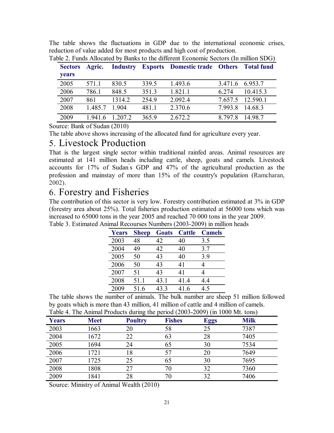The table shows the fluctuations in GDP due to the international economic crises, reduction of value added for most products and high cost of production.

| <b>Sectors</b><br><b>vears</b> | <b>Agric.</b> |         |       | <b>Industry Exports Domestic trade Others Total fund</b> |         |                  |
|--------------------------------|---------------|---------|-------|----------------------------------------------------------|---------|------------------|
| 2005                           | 571.1         | 830.5   | 339.5 | 1.493.6                                                  |         | 3.471.6 6.953.7  |
| 2006                           | 786.1         | 848.5   | 351.3 | 1.821.1                                                  | 6 2 7 4 | 10.415.3         |
| 2007                           | 861           | 1314.2  | 254.9 | 2.092.4                                                  |         | 7.657.5 12.590.1 |
| 2008                           | 1.485.7       | 1904    | 481.1 | 2.370.6                                                  |         | 7.993.8 14.68.3  |
| 2009                           | 19416         | 1.207.2 | 365.9 | 2.672.2                                                  | 8 797 8 | 14.98.7          |

Table 2. Funds Allocated by Banks to the different Economic Sectors (In million SDG)

Source: Bank of Sudan (2010)

The table above shows increasing of the allocated fund for agriculture every year.

#### 5. Livestock Production

That is the largest single sector within traditional rainfed areas. Animal resources are estimated at 141 million heads including cattle, sheep, goats and camels. Livestock accounts for 17% of Sudan' s GDP and 47% of the agricultural production as the profession and mainstay of more than 15% of the country's population (Ramcharan, 2002).

#### 6. Forestry and Fisheries

The contribution of this sector is very low. Forestry contribution estimated at 3% in GDP (forestry area about 25%). Total fisheries production estimated at 56000 tons which was increased to 65000 tons in the year 2005 and reached 70 000 tons in the year 2009. Table 3. Estimated Animal Recourses Numbers (2003-2009) in million heads

| <b>Years</b> | <b>Sheep</b> | <b>Goats</b> | <b>Cattle</b> | <b>Camels</b> |
|--------------|--------------|--------------|---------------|---------------|
| 2003         | 48           | 42           | 40            | 3.5           |
| 2004         | 49           | 42           | 40            | 3.7           |
| 2005         | 50           | 43           | 40            | 3.9           |
| 2006         | 50           | 43           | 41            | 4             |
| 2007         | 51           | 43           | 41            | 4             |
| 2008         | 51.1         | 43.1         | 41.4          | 4.4           |
| 2009         | 51.6         | 43.3         | 41.6          | 4.5           |

The table shows the number of animals. The bulk number are sheep 51 million followed by goats which is more than 43 million, 41 million of cattle and 4 million of camels. Table 4. The Animal Products during the period (2003-2009) (in 1000 Mt. tons)

| <b>Years</b> | <b>Meet</b> | <b>Poultry</b> | <b>Fishes</b> | <b>Eggs</b> | <b>Milk</b> |
|--------------|-------------|----------------|---------------|-------------|-------------|
| 2003         | 1663        | 20             | 58            | 25          | 7387        |
| 2004         | 1672        | 22             | 63            | 28          | 7405        |
| 2005         | 1694        | 24             | 65            | 30          | 7534        |
| 2006         | 1721        | 18             |               | 20          | 7649        |
| 2007         | 1725        | 25             | 65            | 30          | 7695        |
| 2008         | 1808        | 27             | 70            | 32          | 7360        |
| 2009         | 1841        | 28             |               | 32          | 7406        |

Source: Ministry of Animal Wealth (2010)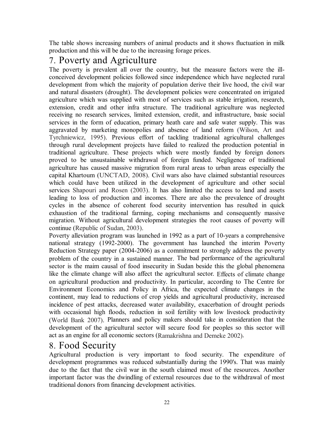The table shows increasing numbers of animal products and it shows fluctuation in milk production and this will be due to the increasing forage prices.

## 7. Poverty and Agriculture

The poverty is prevalent all over the country, but the measure factors were the illconceived development policies followed since independence which have neglected rural development from which the majority of population derive their live hood, the civil war and natural disasters (drought). The development policies were concentrated on irrigated agriculture which was supplied with most of services such as stable irrigation, research, extension, credit and other infra structure. The traditional agriculture was neglected receiving no research services, limited extension, credit, and infrastructure, basic social services in the form of education, primary heath care and safe water supply. This was aggravated by marketing monopolies and absence of land reform (Wilson, Art and Tyrchniewicz, 1995). Previous effort of tackling traditional agricultural challenges through rural development projects have failed to realized the production potential in traditional agriculture. These projects which were mostly funded by foreign donors proved to be unsustainable withdrawal of foreign funded. Negligence of traditional agriculture has caused massive migration from rural areas to urban areas especially the capital Khartoum (UNCTAD, 2008). Civil wars also have claimed substantial resources which could have been utilized in the development of agriculture and other social services Shapouri and Rosen (2003). It has also limited the access to land and assets leading to loss of production and incomes. There are also the prevalence of drought cycles in the absence of coherent food security intervention has resulted in quick exhaustion of the traditional farming, coping mechanisms and consequently massive migration. Without agricultural development strategies the root causes of poverty will continue (Republic of Sudan, 2003).

Poverty alleviation program was launched in 1992 as a part of 10-years a comprehensive national strategy (1992-2000). The government has launched the interim Poverty Reduction Strategy paper (2004-2006) as a commitment to strongly address the poverty problem of the country in a sustained manner. The bad performance of the agricultural sector is the maim causal of food insecurity in Sudan beside this the global phenomena like the climate change will also affect the agricultural sector. Effects of climate change on agricultural production and productivity. In particular, according to The Centre for Environment Economics and Policy in Africa, the expected climate changes in the continent, may lead to reductions of crop yields and agricultural productivity, increased incidence of pest attacks, decreased water availability, exacerbation of drought periods with occasional high floods, reduction in soil fertility with low livestock productivity (World Bank 2007). Planners and policy makers should take in consideration that the development of the agricultural sector will secure food for peoples so this sector will act as an engine for all economic sectors (Ramakrishna and Demeke 2002).

### 8. Food Security

Agricultural production is very important to food security. The expenditure of development programmes was reduced substantially during the 1990's. That was mainly due to the fact that the civil war in the south claimed most of the resources. Another important factor was the dwindling of external resources due to the withdrawal of most traditional donors from financing development activities.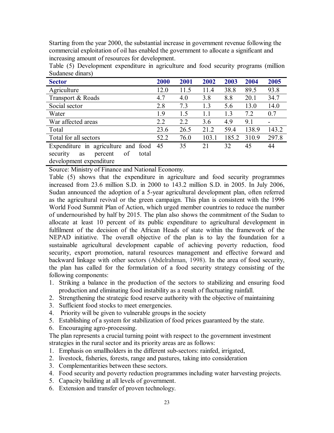Starting from the year 2000, the substantial increase in government revenue following the commercial exploitation of oil has enabled the government to allocate a significant and increasing amount of resources for development.

| <b>Sector</b>                            | 2000 | 2001 | 2002  | 2003  | 2004  | 2005  |
|------------------------------------------|------|------|-------|-------|-------|-------|
| Agriculture                              | 12.0 | 11.5 | 11.4  | 38.8  | 89.5  | 93.8  |
| Transport & Roads                        | 4.7  | 4.0  | 3.8   | 8.8   | 20.1  | 34.7  |
| Social sector                            | 2.8  | 7.3  | 1.3   | 5.6   | 13.0  | 14.0  |
| Water                                    | 1.9  | 1.5  | 1.1   | 1.3   | 7.2   | 0.7   |
| War affected areas                       | 2.2  | 2.2  | 3.6   | 4.9   | 9.1   |       |
| Total                                    | 23.6 | 26.5 | 21.2  | 59.4  | 138.9 | 143.2 |
| Total for all sectors                    | 52.2 | 76.0 | 103.1 | 185.2 | 310.9 | 297.8 |
| Expenditure in agriculture and food 45   |      | 35   | 21    | 32    | 45    | 44    |
| of<br>total<br>security<br>percent<br>as |      |      |       |       |       |       |
| development expenditure                  |      |      |       |       |       |       |

Table (5) Development expenditure in agriculture and food security programs (million Sudanese dinars)

Source: Ministry of Finance and National Economy.

Table (5) shows that the expenditure in agriculture and food security programmes increased from 23.6 million S.D. in 2000 to 143.2 million S.D. in 2005. In July 2006, Sudan announced the adoption of a 5-year agricultural development plan, often referred as the agricultural revival or the green campaign. This plan is consistent with the 1996 World Food Summit Plan of Action, which urged member countries to reduce the number of undernourished by half by 2015. The plan also shows the commitment of the Sudan to allocate at least 10 percent of its public expenditure to agricultural development in fulfilment of the decision of the African Heads of state within the framework of the NEPAD initiative. The overall objective of the plan is to lay the foundation for a sustainable agricultural development capable of achieving poverty reduction, food security, export promotion, natural resources management and effective forward and backward linkage with other sectors (Abdelrahman, 1998). In the area of food security, the plan has called for the formulation of a food security strategy consisting of the following components:

- 1. Striking a balance in the production of the sectors to stabilizing and ensuring food production and eliminating food instability as a result of fluctuating rainfall.
- 2. Strengthening the strategic food reserve authority with the objective of maintaining
- 3. Sufficient food stocks to meet emergencies.
- 4. Priority will be given to vulnerable groups in the society
- 5. Establishing of a system for stabilization of food prices guaranteed by the state.
- 6. Encouraging agro-processing.

The plan represents a crucial turning point with respect to the government investment strategies in the rural sector and its priority areas are as follows:

- 1. Emphasis on smallholders in the different sub-sectors: rainfed, irrigated,
- 2. livestock, fisheries, forests, range and pastures, taking into consideration
- 3. Complementarities between these sectors.
- 4. Food security and poverty reduction programmes including water harvesting projects.
- 5. Capacity building at all levels of government.
- 6. Extension and transfer of proven technology.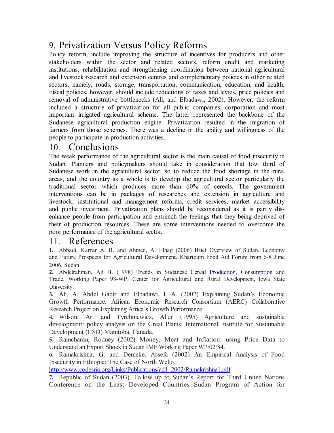## 9. Privatization Versus Policy Reforms

Policy reform, include improving the structure of incentives for producers and other stakeholders within the sector and related sectors, reform credit and marketing institutions, rehabilitation and strengthening coordination between national agricultural and livestock research and extension centres and complementary policies in other related sectors, namely, roads, storage, transportation, communication, education, and health. Fiscal policies, however, should include reductions of taxes and levies, price policies and removal of administrative bottlenecks (Ali, and Elbadawi, 2002). However, the reform included a structure of privatization for all public companies, corporation and most important irrigated agricultural scheme. The latter represented the backbone of the Sudanese agricultural production engine. Privatization resulted in the migration of farmers from those schemes. There was a decline in the ability and willingness of the people to participate in production activities.

#### 10. Conclusions

The weak performance of the agricultural sector is the main causal of food insecurity in Sudan. Planners and policymakers should take in consideration that tow third of Sudanese work in the agricultural sector, so to reduce the food shortage in the rural areas, and the country as a whole is to develop the agricultural sector particularly the traditional sector which produces more than 60% of cereals. The government interventions can be in packages of researches and extension in agriculture and livestock, institutional and management reforms, credit services, market accessibility and public investment. Privatization plans should be reconsidered as it is partly disenhance people from participation and entrench the feelings that they being deprived of their of production resources. These are some interventions needed to overcome the poor performance of the agricultural sector.

#### 11. References

**1.** Abbadi, Karrar A. B. and Ahmed, A. Elhag (2006) Brief Overview of Sudan. Economy and Future Prospects for Agricultural Development. Khartoum Food Aid Forum from 6-8 June 2006, Sudan.

**2.** Abdelrahman, Ali H. (1998) Trends in Sudanese Cereal Production, Consumption and Trade. Working Paper 98-WP. Center for Agricultural and Rural Development, Iowa State University.

**3.** Ali, A. Abdel Gadir and Elbadawi, I. A. (2002) Explaining Sudan's Economic Growth Performance. African Economic Research Consortium (AERC) Collaborative Research Project on Explaining Africa's Growth Performance.

**4.** Wilson, Art and Tyrchniewicz, Allen (1995) Agriculture and sustainable development: policy analysis on the Great Plains. International Institute for Sustainable Development (IISD) Manitoba, Canada.

**5.** Ramcharan, Rodney (2002) Money, Meat and Inflation: using Price Data to Understand an Export Shock in Sudan IMF Working Paper WP/02/84.

**6.** Ramakrishna, G. and Demeke, Assefa (2002) An Empirical Analysis of Food Insecurity in Ethiopia: The Case of North Wello.

http://www.codesria.org/Links/Publications/ad1\_2002/Ramakrishna1.pdf

**7.** Republic of Sudan (2003). Follow up to Sudan's Report for Third United Nations Conference on the Least Developed Countries Sudan Program of Action for